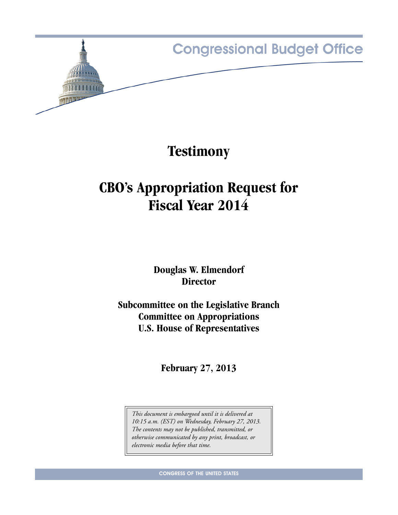

## **Testimony**

# **CBO's Appropriation Request for Fiscal Year 2014**

**Douglas W. Elmendorf Director**

**Subcommittee on the Legislative Branch Committee on Appropriations U.S. House of Representatives**

**February 27, 2013**

*This document is embargoed until it is delivered at 10:15 a.m. (EST) on Wednesday, February 27, 2013. The contents may not be published, transmitted, or otherwise communicated by any print, broadcast, or electronic media before that time.*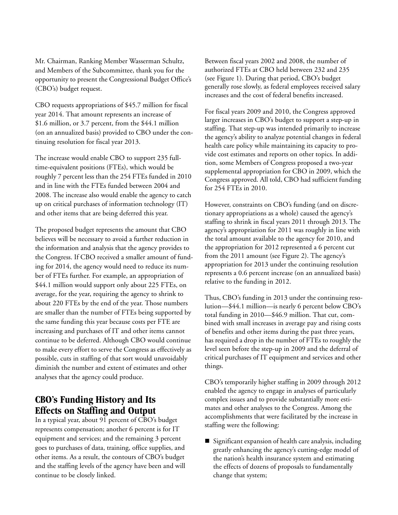Mr. Chairman, Ranking Member Wasserman Schultz, and Members of the Subcommittee, thank you for the opportunity to present the Congressional Budget Office's (CBO's) budget request.

CBO requests appropriations of \$45.7 million for fiscal year 2014. That amount represents an increase of \$1.6 million, or 3.7 percent, from the \$44.1 million (on an annualized basis) provided to CBO under the continuing resolution for fiscal year 2013.

The increase would enable CBO to support 235 fulltime-equivalent positions (FTEs), which would be roughly 7 percent less than the 254 FTEs funded in 2010 and in line with the FTEs funded between 2004 and 2008. The increase also would enable the agency to catch up on critical purchases of information technology (IT) and other items that are being deferred this year.

The proposed budget represents the amount that CBO believes will be necessary to avoid a further reduction in the information and analysis that the agency provides to the Congress. If CBO received a smaller amount of funding for 2014, the agency would need to reduce its number of FTEs further. For example, an appropriation of \$44.1 million would support only about 225 FTEs, on average, for the year, requiring the agency to shrink to about 220 FTEs by the end of the year. Those numbers are smaller than the number of FTEs being supported by the same funding this year because costs per FTE are increasing and purchases of IT and other items cannot continue to be deferred. Although CBO would continue to make every effort to serve the Congress as effectively as possible, cuts in staffing of that sort would unavoidably diminish the number and extent of estimates and other analyses that the agency could produce.

## **CBO's Funding History and Its Effects on Staffing and Output**

In a typical year, about  $9\overline{1}$  percent of CBO's budget represents compensation; another 6 percent is for IT equipment and services; and the remaining 3 percent goes to purchases of data, training, office supplies, and other items. As a result, the contours of CBO's budget and the staffing levels of the agency have been and will continue to be closely linked.

Between fiscal years 2002 and 2008, the number of authorized FTEs at CBO held between 232 and 235 (see [Figure 1\)](#page-3-0). During that period, CBO's budget generally rose slowly, as federal employees received salary increases and the cost of federal benefits increased.

For fiscal years 2009 and 2010, the Congress approved larger increases in CBO's budget to support a step-up in staffing. That step-up was intended primarily to increase the agency's ability to analyze potential changes in federal health care policy while maintaining its capacity to provide cost estimates and reports on other topics. In addition, some Members of Congress proposed a two-year supplemental appropriation for CBO in 2009, which the Congress approved. All told, CBO had sufficient funding for 254 FTEs in 2010.

However, constraints on CBO's funding (and on discretionary appropriations as a whole) caused the agency's staffing to shrink in fiscal years 2011 through 2013. The agency's appropriation for 2011 was roughly in line with the total amount available to the agency for 2010, and the appropriation for 2012 represented a 6 percent cut from the 2011 amount (see [Figure 2\)](#page-4-0). The agency's appropriation for 2013 under the continuing resolution represents a 0.6 percent increase (on an annualized basis) relative to the funding in 2012.

Thus, CBO's funding in 2013 under the continuing resolution—\$44.1 million—is nearly 6 percent below CBO's total funding in 2010—\$46.9 million. That cut, combined with small increases in average pay and rising costs of benefits and other items during the past three years, has required a drop in the number of FTEs to roughly the level seen before the step-up in 2009 and the deferral of critical purchases of IT equipment and services and other things.

CBO's temporarily higher staffing in 2009 through 2012 enabled the agency to engage in analyses of particularly complex issues and to provide substantially more estimates and other analyses to the Congress. Among the accomplishments that were facilitated by the increase in staffing were the following:

 Significant expansion of health care analysis, including greatly enhancing the agency's cutting-edge model of the nation's health insurance system and estimating the effects of dozens of proposals to fundamentally change that system;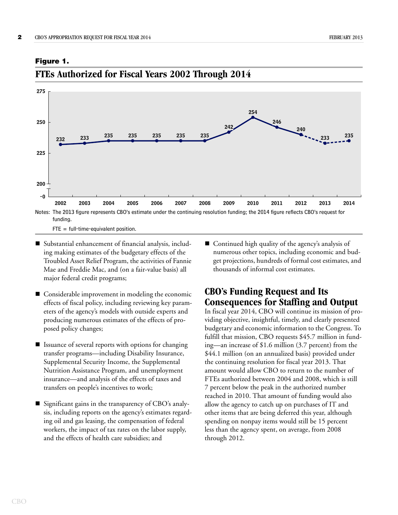

#### <span id="page-3-0"></span>**Figure 1.**



### **FTEs Authorized for Fiscal Years 2002 Through 2014**

- Substantial enhancement of financial analysis, including making estimates of the budgetary effects of the Troubled Asset Relief Program, the activities of Fannie Mae and Freddie Mac, and (on a fair-value basis) all major federal credit programs;
- Considerable improvement in modeling the economic effects of fiscal policy, including reviewing key parameters of the agency's models with outside experts and producing numerous estimates of the effects of proposed policy changes;
- $\blacksquare$  Issuance of several reports with options for changing transfer programs—including Disability Insurance, Supplemental Security Income, the Supplemental Nutrition Assistance Program, and unemployment insurance—and analysis of the effects of taxes and transfers on people's incentives to work;
- Significant gains in the transparency of CBO's analysis, including reports on the agency's estimates regarding oil and gas leasing, the compensation of federal workers, the impact of tax rates on the labor supply, and the effects of health care subsidies; and

■ Continued high quality of the agency's analysis of numerous other topics, including economic and budget projections, hundreds of formal cost estimates, and thousands of informal cost estimates.

### **CBO's Funding Request and Its Consequences for Staffing and Output**

In fiscal year 2014, CBO will continue its mission of providing objective, insightful, timely, and clearly presented budgetary and economic information to the Congress. To fulfill that mission, CBO requests \$45.7 million in funding—an increase of \$1.6 million (3.7 percent) from the \$44.1 million (on an annualized basis) provided under the continuing resolution for fiscal year 2013. That amount would allow CBO to return to the number of FTEs authorized between 2004 and 2008, which is still 7 percent below the peak in the authorized number reached in 2010. That amount of funding would also allow the agency to catch up on purchases of IT and other items that are being deferred this year, although spending on nonpay items would still be 15 percent less than the agency spent, on average, from 2008 through 2012.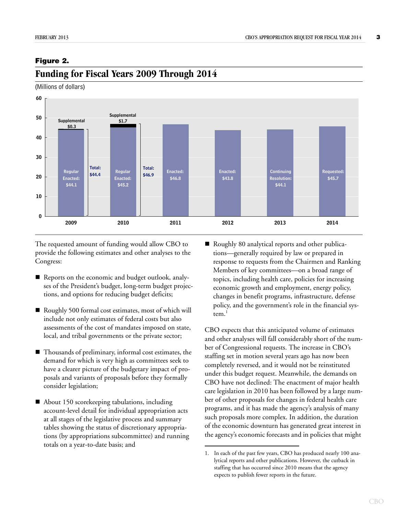#### <span id="page-4-0"></span>**Figure 2.**



#### **Funding for Fiscal Years 2009 Through 2014**

(Millions of dollars)

The requested amount of funding would allow CBO to provide the following estimates and other analyses to the Congress:

- Reports on the economic and budget outlook, analyses of the President's budget, long-term budget projections, and options for reducing budget deficits;
- Roughly 500 formal cost estimates, most of which will include not only estimates of federal costs but also assessments of the cost of mandates imposed on state, local, and tribal governments or the private sector;
- Thousands of preliminary, informal cost estimates, the demand for which is very high as committees seek to have a clearer picture of the budgetary impact of proposals and variants of proposals before they formally consider legislation;
- About 150 scorekeeping tabulations, including account-level detail for individual appropriation acts at all stages of the legislative process and summary tables showing the status of discretionary appropriations (by appropriations subcommittee) and running totals on a year-to-date basis; and

Roughly 80 analytical reports and other publications—generally required by law or prepared in response to requests from the Chairmen and Ranking Members of key committees—on a broad range of topics, including health care, policies for increasing economic growth and employment, energy policy, changes in benefit programs, infrastructure, defense policy, and the government's role in the financial system. $<sup>1</sup>$ </sup>

CBO expects that this anticipated volume of estimates and other analyses will fall considerably short of the number of Congressional requests. The increase in CBO's staffing set in motion several years ago has now been completely reversed, and it would not be reinstituted under this budget request. Meanwhile, the demands on CBO have not declined: The enactment of major health care legislation in 2010 has been followed by a large number of other proposals for changes in federal health care programs, and it has made the agency's analysis of many such proposals more complex. In addition, the duration of the economic downturn has generated great interest in the agency's economic forecasts and in policies that might

<sup>1.</sup> In each of the past few years, CBO has produced nearly 100 analytical reports and other publications. However, the cutback in staffing that has occurred since 2010 means that the agency expects to publish fewer reports in the future.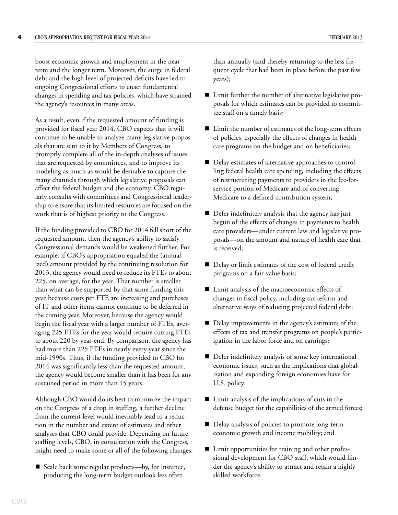boost economic growth and employment in the near term and the longer term. Moreover, the surge in federal debt and the high level of projected deficits have led to ongoing Congressional efforts to enact fundamental changes in spending and tax policies, which have strained the agency's resources in many areas.

As a result, even if the requested amount of funding is provided for fiscal year 2014, CBO expects that it will continue to be unable to analyze many legislative proposals that are sent to it by Members of Congress, to promptly complete all of the in-depth analyses of issues that are requested by committees, and to improve its modeling as much as would be desirable to capture the many channels through which legislative proposals can affect the federal budget and the economy. CBO regularly consults with committees and Congressional leadership to ensure that its limited resources are focused on the work that is of highest priority to the Congress.

If the funding provided to CBO for 2014 fell short of the requested amount, then the agency's ability to satisfy Congressional demands would be weakened further. For example, if CBO's appropriation equaled the (annualized) amount provided by the continuing resolution for 2013, the agency would need to reduce its FTEs to about 225, on average, for the year. That number is smaller than what can be supported by that same funding this year because costs per FTE are increasing and purchases of IT and other items cannot continue to be deferred in the coming year. Moreover, because the agency would begin the fiscal year with a larger number of FTEs, averaging 225 FTEs for the year would require cutting FTEs to about 220 by year-end. By comparison, the agency has had more than 225 FTEs in nearly every year since the mid-1990s. Thus, if the funding provided to CBO for 2014 was significantly less than the requested amount, the agency would become smaller than it has been for any sustained period in more than 15 years.

Although CBO would do its best to minimize the impact on the Congress of a drop in staffing, a further decline from the current level would inevitably lead to a reduction in the number and extent of estimates and other analyses that CBO could provide. Depending on future staffing levels, CBO, in consultation with the Congress, might need to make some or all of the following changes:

■ Scale back some regular products—by, for instance, producing the long-term budget outlook less often

than annually (and thereby returning to the less frequent cycle that had been in place before the past few years);

- Limit further the number of alternative legislative proposals for which estimates can be provided to committee staff on a timely basis;
- Limit the number of estimates of the long-term effects of policies, especially the effects of changes in health care programs on the budget and on beneficiaries;
- Delay estimates of alternative approaches to controlling federal health care spending, including the effects of restructuring payments to providers in the fee-forservice portion of Medicare and of converting Medicare to a defined-contribution system;
- Defer indefinitely analysis that the agency has just begun of the effects of changes in payments to health care providers—under current law and legislative proposals—on the amount and nature of health care that is received;
- Delay or limit estimates of the cost of federal credit programs on a fair-value basis;
- Limit analysis of the macroeconomic effects of changes in fiscal policy, including tax reform and alternative ways of reducing projected federal debt;
- Delay improvements in the agency's estimates of the effects of tax and transfer programs on people's participation in the labor force and on earnings;
- Defer indefinitely analysis of some key international economic issues, such as the implications that globalization and expanding foreign economies have for U.S. policy;
- Limit analysis of the implications of cuts in the defense budget for the capabilities of the armed forces;
- Delay analysis of policies to promote long-term economic growth and income mobility; and
- Limit opportunities for training and other professional development for CBO staff, which would hinder the agency's ability to attract and retain a highly skilled workforce.